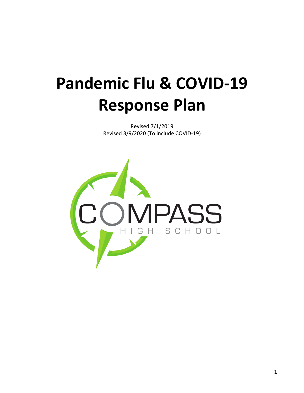# **Pandemic Flu & COVID-19 Response Plan**

Revised 7/1/2019 Revised 3/9/2020 (To include COVID-19)

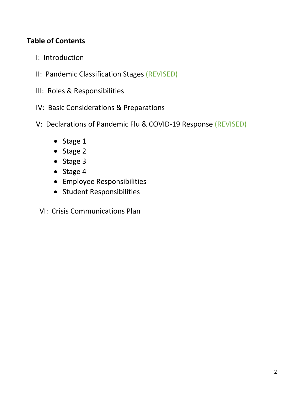# **Table of Contents**

- I: Introduction
- II: Pandemic Classification Stages (REVISED)
- III: Roles & Responsibilities
- IV: Basic Considerations & Preparations
- V: Declarations of Pandemic Flu & COVID-19 Response (REVISED)
	- Stage 1
	- Stage 2
	- Stage 3
	- Stage 4
	- Employee Responsibilities
	- Student Responsibilities
	- VI: Crisis Communications Plan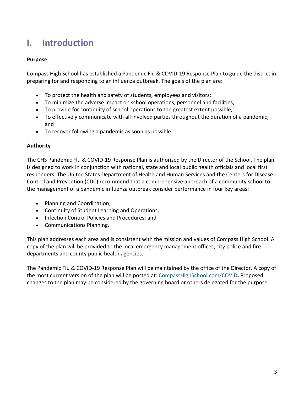# **I. Introduction**

#### **Purpose**

Compass High School has established a Pandemic Flu & COVID-19 Response Plan to guide the district in preparing for and responding to an influenza outbreak. The goals of the plan are:

- To protect the health and safety of students, employees and visitors;
- To minimize the adverse impact on school operations, personnel and facilities;
- To provide for continuity of school operations to the greatest extent possible;
- To effectively communicate with all involved parties throughout the duration of a pandemic; and
- To recover following a pandemic as soon as possible.

#### **Authority**

The CHS Pandemic Flu & COVID-19 Response Plan is authorized by the Director of the School. The plan is designed to work in conjunction with national, state and local public health officials and local first responders. The United States Department of Health and Human Services and the Centers for Disease Control and Prevention (CDC) recommend that a comprehensive approach of a community school to the management of a pandemic influenza outbreak consider performance in four key areas:

- Planning and Coordination;
- Continuity of Student Learning and Operations;
- Infection Control Policies and Procedures; and
- Communications Planning.

This plan addresses each area and is consistent with the mission and values of Compass High School. A copy of the plan will be provided to the local emergency management offices, city police and fire departments and county public health agencies.

The Pandemic Flu & COVID-19 Response Plan will be maintained by the office of the Director. A copy of the most current version of the plan will be posted at: CompassHighSchool.com/COVID**.** Proposed changes to the plan may be considered by the governing board or others delegated for the purpose.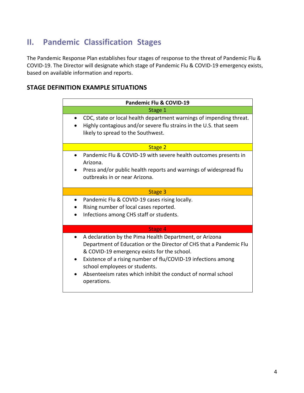# **II. Pandemic Classification Stages**

The Pandemic Response Plan establishes four stages of response to the threat of Pandemic Flu & COVID-19. The Director will designate which stage of Pandemic Flu & COVID-19 emergency exists, based on available information and reports.

# **STAGE DEFINITION EXAMPLE SITUATIONS**

| Pandemic Flu & COVID-19 |                                                                                                                                                                                                                                                                                                                                                               |
|-------------------------|---------------------------------------------------------------------------------------------------------------------------------------------------------------------------------------------------------------------------------------------------------------------------------------------------------------------------------------------------------------|
| Stage 1                 |                                                                                                                                                                                                                                                                                                                                                               |
|                         | CDC, state or local health department warnings of impending threat.<br>Highly contagious and/or severe flu strains in the U.S. that seem<br>likely to spread to the Southwest.                                                                                                                                                                                |
| Stage 2                 |                                                                                                                                                                                                                                                                                                                                                               |
|                         | Pandemic Flu & COVID-19 with severe health outcomes presents in<br>Arizona.<br>Press and/or public health reports and warnings of widespread flu<br>outbreaks in or near Arizona.                                                                                                                                                                             |
| Stage 3                 |                                                                                                                                                                                                                                                                                                                                                               |
|                         | Pandemic Flu & COVID-19 cases rising locally.<br>Rising number of local cases reported.<br>Infections among CHS staff or students.                                                                                                                                                                                                                            |
| Stage 4                 |                                                                                                                                                                                                                                                                                                                                                               |
|                         | A declaration by the Pima Health Department, or Arizona<br>Department of Education or the Director of CHS that a Pandemic Flu<br>& COVID-19 emergency exists for the school.<br>Existence of a rising number of flu/COVID-19 infections among<br>school employees or students.<br>Absenteeism rates which inhibit the conduct of normal school<br>operations. |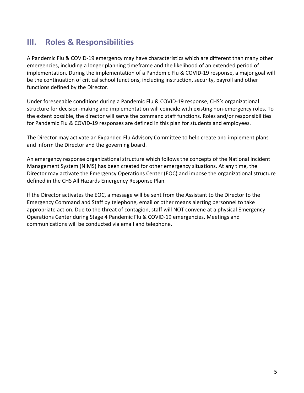# **III. Roles & Responsibilities**

A Pandemic Flu & COVID-19 emergency may have characteristics which are different than many other emergencies, including a longer planning timeframe and the likelihood of an extended period of implementation. During the implementation of a Pandemic Flu & COVID-19 response, a major goal will be the continuation of critical school functions, including instruction, security, payroll and other functions defined by the Director.

Under foreseeable conditions during a Pandemic Flu & COVID-19 response, CHS's organizational structure for decision-making and implementation will coincide with existing non-emergency roles. To the extent possible, the director will serve the command staff functions. Roles and/or responsibilities for Pandemic Flu & COVID-19 responses are defined in this plan for students and employees.

The Director may activate an Expanded Flu Advisory Committee to help create and implement plans and inform the Director and the governing board.

An emergency response organizational structure which follows the concepts of the National Incident Management System (NIMS) has been created for other emergency situations. At any time, the Director may activate the Emergency Operations Center (EOC) and impose the organizational structure defined in the CHS All Hazards Emergency Response Plan.

If the Director activates the EOC, a message will be sent from the Assistant to the Director to the Emergency Command and Staff by telephone, email or other means alerting personnel to take appropriate action. Due to the threat of contagion, staff will NOT convene at a physical Emergency Operations Center during Stage 4 Pandemic Flu & COVID-19 emergencies. Meetings and communications will be conducted via email and telephone.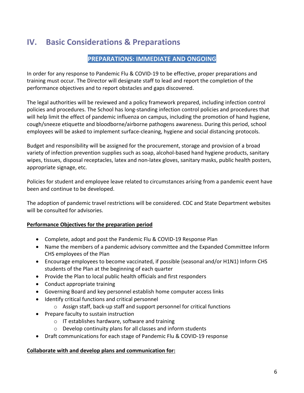# **IV. Basic Considerations & Preparations**

# **PREPARATIONS: IMMEDIATE AND ONGOING**

In order for any response to Pandemic Flu & COVID-19 to be effective, proper preparations and training must occur. The Director will designate staff to lead and report the completion of the performance objectives and to report obstacles and gaps discovered.

The legal authorities will be reviewed and a policy framework prepared, including infection control policies and procedures. The School has long-standing infection control policies and procedures that will help limit the effect of pandemic influenza on campus, including the promotion of hand hygiene, cough/sneeze etiquette and bloodborne/airborne pathogens awareness. During this period, school employees will be asked to implement surface-cleaning, hygiene and social distancing protocols.

Budget and responsibility will be assigned for the procurement, storage and provision of a broad variety of infection prevention supplies such as soap, alcohol-based hand hygiene products, sanitary wipes, tissues, disposal receptacles, latex and non-latex gloves, sanitary masks, public health posters, appropriate signage, etc.

Policies for student and employee leave related to circumstances arising from a pandemic event have been and continue to be developed.

The adoption of pandemic travel restrictions will be considered. CDC and State Department websites will be consulted for advisories.

## **Performance Objectives for the preparation period**

- Complete, adopt and post the Pandemic Flu & COVID-19 Response Plan
- Name the members of a pandemic advisory committee and the Expanded Committee Inform CHS employees of the Plan
- Encourage employees to become vaccinated, if possible (seasonal and/or H1N1) Inform CHS students of the Plan at the beginning of each quarter
- Provide the Plan to local public health officials and first responders
- Conduct appropriate training
- Governing Board and key personnel establish home computer access links
- Identify critical functions and critical personnel
	- o Assign staff, back-up staff and support personnel for critical functions
- Prepare faculty to sustain instruction
	- o IT establishes hardware, software and training
	- o Develop continuity plans for all classes and inform students
- Draft communications for each stage of Pandemic Flu & COVID-19 response

## **Collaborate with and develop plans and communication for:**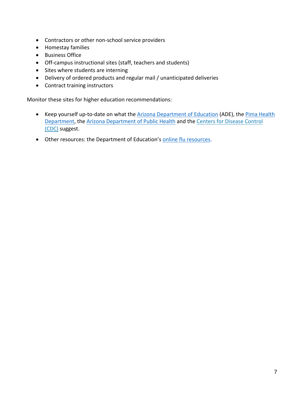- Contractors or other non-school service providers
- Homestay families
- Business Office
- Off-campus instructional sites (staff, teachers and students)
- Sites where students are interning
- Delivery of ordered products and regular mail / unanticipated deliveries
- Contract training instructors

Monitor these sites for higher education recommendations:

- Keep yourself up-to-date on what the Arizona Department of Education (ADE), the Pima Health Department, the Arizona Department of Public Health and the Centers for Disease Control (CDC) suggest.
- Other resources: the Department of Education's online flu resources.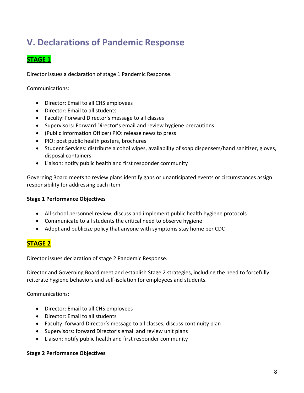# **V. Declarations of Pandemic Response**

# **STAGE 1**

Director issues a declaration of stage 1 Pandemic Response.

Communications:

- Director: Email to all CHS employees
- Director: Email to all students
- Faculty: Forward Director's message to all classes
- Supervisors: Forward Director's email and review hygiene precautions
- (Public Information Officer) PIO: release news to press
- PIO: post public health posters, brochures
- Student Services: distribute alcohol wipes, availability of soap dispensers/hand sanitizer, gloves, disposal containers
- Liaison: notify public health and first responder community

Governing Board meets to review plans identify gaps or unanticipated events or circumstances assign responsibility for addressing each item

## **Stage 1 Performance Objectives**

- All school personnel review, discuss and implement public health hygiene protocols
- Communicate to all students the critical need to observe hygiene
- Adopt and publicize policy that anyone with symptoms stay home per CDC

# **STAGE 2**

Director issues declaration of stage 2 Pandemic Response.

Director and Governing Board meet and establish Stage 2 strategies, including the need to forcefully reiterate hygiene behaviors and self-isolation for employees and students.

Communications:

- Director: Email to all CHS employees
- Director: Email to all students
- Faculty: forward Director's message to all classes; discuss continuity plan
- Supervisors: forward Director's email and review unit plans
- Liaison: notify public health and first responder community

## **Stage 2 Performance Objectives**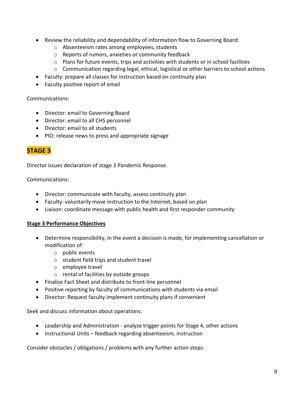- Review the reliability and dependability of information flow to Governing Board:
	- o Absenteeism rates among employees, students
	- o Reports of rumors, anxieties or community feedback
	- $\circ$  Plans for future events, trips and activities with students or in school facilities
	- $\circ$  Communication regarding legal, ethical, logistical or other barriers to school actions
- Faculty: prepare all classes for instruction based on continuity plan
- Faculty positive report of email

## Communications:

- Director: email to Governing Board
- Director: email to all CHS personnel
- Director: email to all students
- PIO: release news to press and appropriate signage

# **STAGE 3**

Director issues declaration of stage 3 Pandemic Response.

## Communications:

- Director: communicate with faculty, assess continuity plan
- Faculty: voluntarily move instruction to the Internet, based on plan
- Liaison: coordinate message with public health and first responder community

## **Stage 3 Performance Objectives**

- Determine responsibility, in the event a decision is made, for implementing cancellation or modification of:
	- $\circ$  public events
	- o student field trips and student travel
	- o employee travel
	- o rental of facilities by outside groups
- Finalize Fact Sheet and distribute to front-line personnel
- Positive reporting by faculty of communications with students via email
- Director: Request faculty implement continuity plans if convenient

Seek and discuss information about operations:

- Leadership and Administration analyze trigger points for Stage 4, other actions
- Instructional Units feedback regarding absenteeism, instruction

Consider obstacles / obligations / problems with any further action steps: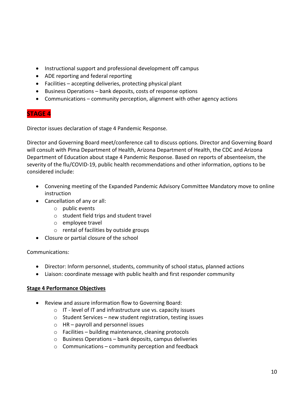- Instructional support and professional development off campus
- ADE reporting and federal reporting
- Facilities accepting deliveries, protecting physical plant
- Business Operations bank deposits, costs of response options
- Communications community perception, alignment with other agency actions

# **STAGE 4**

Director issues declaration of stage 4 Pandemic Response.

Director and Governing Board meet/conference call to discuss options. Director and Governing Board will consult with Pima Department of Health, Arizona Department of Health, the CDC and Arizona Department of Education about stage 4 Pandemic Response. Based on reports of absenteeism, the severity of the flu/COVID-19, public health recommendations and other information, options to be considered include:

- Convening meeting of the Expanded Pandemic Advisory Committee Mandatory move to online instruction
- Cancellation of any or all:
	- o public events
	- o student field trips and student travel
	- o employee travel
	- o rental of facilities by outside groups
- Closure or partial closure of the school

## Communications:

- Director: Inform personnel, students, community of school status, planned actions
- Liaison: coordinate message with public health and first responder community

## **Stage 4 Performance Objectives**

- Review and assure information flow to Governing Board:
	- o IT level of IT and infrastructure use vs. capacity issues
	- o Student Services new student registration, testing issues
	- o HR payroll and personnel issues
	- o Facilities building maintenance, cleaning protocols
	- o Business Operations bank deposits, campus deliveries
	- $\circ$  Communications community perception and feedback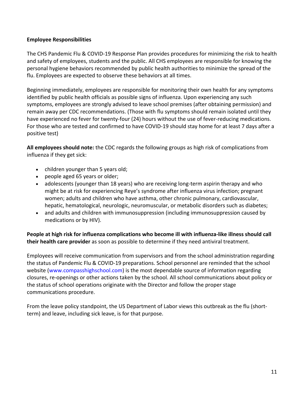## **Employee Responsibilities**

The CHS Pandemic Flu & COVID-19 Response Plan provides procedures for minimizing the risk to health and safety of employees, students and the public. All CHS employees are responsible for knowing the personal hygiene behaviors recommended by public health authorities to minimize the spread of the flu. Employees are expected to observe these behaviors at all times.

Beginning immediately, employees are responsible for monitoring their own health for any symptoms identified by public health officials as possible signs of influenza. Upon experiencing any such symptoms, employees are strongly advised to leave school premises (after obtaining permission) and remain away per CDC recommendations. (Those with flu symptoms should remain isolated until they have experienced no fever for twenty-four (24) hours without the use of fever-reducing medications. For those who are tested and confirmed to have COVID-19 should stay home for at least 7 days after a positive test)

**All employees should note:** the CDC regards the following groups as high risk of complications from influenza if they get sick:

- children younger than 5 years old;
- people aged 65 years or older;
- adolescents (younger than 18 years) who are receiving long-term aspirin therapy and who might be at risk for experiencing Reye's syndrome after influenza virus infection; pregnant women; adults and children who have asthma, other chronic pulmonary, cardiovascular, hepatic, hematological, neurologic, neuromuscular, or metabolic disorders such as diabetes;
- and adults and children with immunosuppression (including immunosuppression caused by medications or by HIV).

## **People at high risk for influenza complications who become ill with influenza-like illness should call their health care provider** as soon as possible to determine if they need antiviral treatment.

Employees will receive communication from supervisors and from the school administration regarding the status of Pandemic Flu & COVID-19 preparations. School personnel are reminded that the school website (www.compasshighschool.com) is the most dependable source of information regarding closures, re-openings or other actions taken by the school. All school communications about policy or the status of school operations originate with the Director and follow the proper stage communications procedure.

From the leave policy standpoint, the US Department of Labor views this outbreak as the flu (shortterm) and leave, including sick leave, is for that purpose.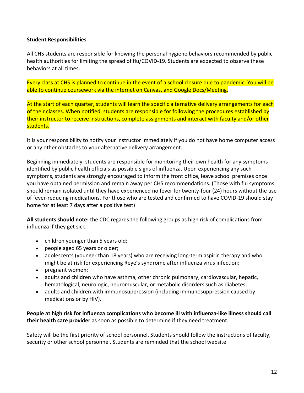## **Student Responsibilities**

All CHS students are responsible for knowing the personal hygiene behaviors recommended by public health authorities for limiting the spread of flu/COVID-19. Students are expected to observe these behaviors at all times.

Every class at CHS is planned to continue in the event of a school closure due to pandemic. You will be able to continue coursework via the internet on Canvas, and Google Docs/Meeting.

At the start of each quarter, students will learn the specific alternative delivery arrangements for each of their classes. When notified, students are responsible for following the procedures established by their instructor to receive instructions, complete assignments and interact with faculty and/or other students.

It is your responsibility to notify your instructor immediately if you do not have home computer access or any other obstacles to your alternative delivery arrangement.

Beginning immediately, students are responsible for monitoring their own health for any symptoms identified by public health officials as possible signs of influenza. Upon experiencing any such symptoms, students are strongly encouraged to inform the front office, leave school premises once you have obtained permission and remain away per CHS recommendations. (Those with flu symptoms should remain isolated until they have experienced no fever for twenty-four (24) hours without the use of fever-reducing medications. For those who are tested and confirmed to have COVID-19 should stay home for at least 7 days after a positive test)

**All students should note:** the CDC regards the following groups as high risk of complications from influenza if they get sick:

- children younger than 5 years old;
- people aged 65 years or older;
- adolescents (younger than 18 years) who are receiving long-term aspirin therapy and who might be at risk for experiencing Reye's syndrome after influenza virus infection;
- pregnant women;
- adults and children who have asthma, other chronic pulmonary, cardiovascular, hepatic, hematological, neurologic, neuromuscular, or metabolic disorders such as diabetes;
- adults and children with immunosuppression (including immunosuppression caused by medications or by HIV).

**People at high risk for influenza complications who become ill with influenza-like illness should call their health care provider** as soon as possible to determine if they need treatment.

Safety will be the first priority of school personnel. Students should follow the instructions of faculty, security or other school personnel. Students are reminded that the school website